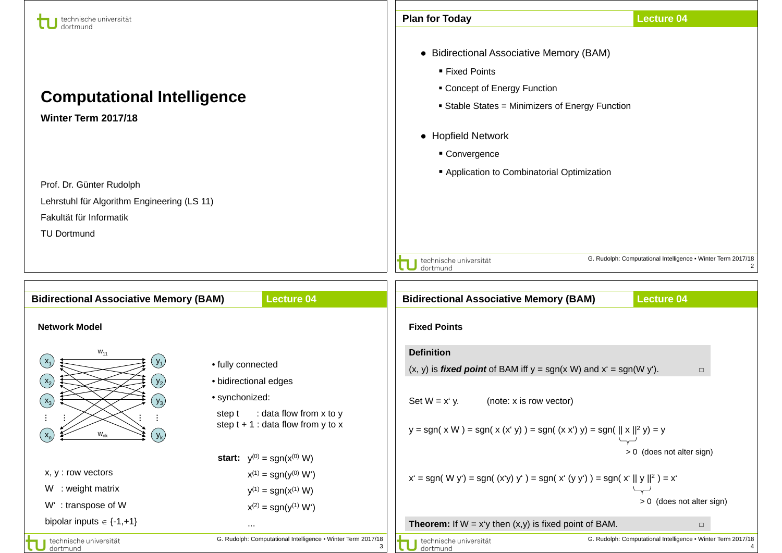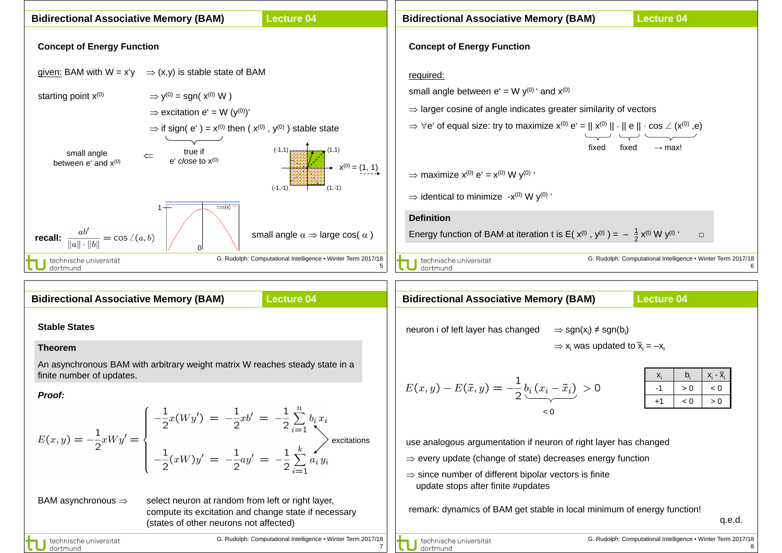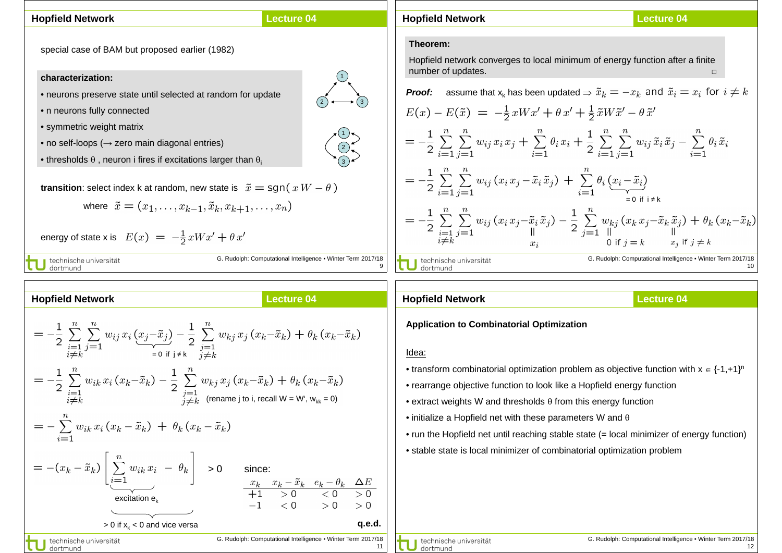# **Hopfield Network**

## **Lecture 04**

special case of BAM but proposed earlier (1982)

# **characterization:**

- neurons preserve state until selected at random for update
- n neurons fully connected
- symmetric weight matrix
- no self-loops (→ zero main diagonal entries)
- thresholds  $\theta$ , neuron i fires if excitations larger than  $\theta_i$

**transition**: select index k at random, new state is  $\tilde{x} = \text{sgn}(xW - \theta)$ 

where 
$$
\tilde{x} = (x_1, \ldots, x_{k-1}, \tilde{x}_k, x_{k+1}, \ldots, x_n)
$$

 $= -\frac{1}{2} \sum_{\substack{i=1 \ i \neq k}}^n \sum_{j=1}^n w_{ij} x_i \underbrace{(x_j - \tilde{x}_j)}_{= 0 \text{ if } i \neq k} - \frac{1}{2} \sum_{\substack{j=1 \ j \neq k}}^n w_{kj} x_j (x_k - \tilde{x}_k) + \theta_k (x_k - \tilde{x}_k)$ 

 $\zeta=-\frac{1}{2}\sum_{\substack{i=1\i\neq k}}^nw_{ik}\,x_i\,(x_k-\tilde x_k)-\frac{1}{2}\sum_{\substack{j=1\j\neq k}}^nw_{kj}\,x_j\,(x_k-\tilde x_k)+\theta_k\,(x_k-\tilde x_k)$ 

energy of state x is 
$$
E(x) = -\frac{1}{2}xWx' + \theta x'
$$

J technische universität<br>J dortmund

**Hopfield Network**

G. Rudolph: Computational Intelligence ▪ Winter Term 2017/18 9

**Lecture 04**

## **Hopfield Network**

**Lecture 04**

#### **Theorem:**

Hopfield network converges to local minimum of energy function after a finite number of updates.

**Proof:** assume that  $x_k$  has been updated  $\Rightarrow \tilde{x}_k = -x_k$  and  $\tilde{x}_i = x_i$  for  $i \neq k$ 

$$
E(x) - E(\tilde{x}) = -\frac{1}{2}xWx' + \theta x' + \frac{1}{2}\tilde{x}W\tilde{x}' - \theta \tilde{x}'
$$
  
\n
$$
= -\frac{1}{2}\sum_{i=1}^{n}\sum_{j=1}^{n}w_{ij}x_{i}x_{j} + \sum_{i=1}^{n}\theta_{i}x_{i} + \frac{1}{2}\sum_{i=1}^{n}\sum_{j=1}^{n}w_{ij}\tilde{x}_{i}\tilde{x}_{j} - \sum_{i=1}^{n}\theta_{i}\tilde{x}_{i}
$$
  
\n
$$
= -\frac{1}{2}\sum_{i=1}^{n}\sum_{j=1}^{n}w_{ij}(x_{i}x_{j} - \tilde{x}_{i}\tilde{x}_{j}) + \sum_{i=1}^{n}\theta_{i}(\underbrace{x_{i} - \tilde{x}_{i}}_{=0 \text{ if } i \neq k})
$$
  
\n
$$
= -\frac{1}{2}\sum_{i=1}^{n}\sum_{j=1}^{n}w_{ij}(x_{i}x_{j} - \tilde{x}_{i}\tilde{x}_{j}) - \frac{1}{2}\sum_{j=1}^{n}w_{kj}(x_{k}x_{j} - \tilde{x}_{k}\tilde{x}_{j}) + \theta_{k}(x_{k} - \tilde{x}_{k})
$$
  
\n
$$
\frac{1}{i \neq k} \text{Let thische universal at } \text{Given this, the universal integral holds}
$$
  
\n
$$
\text{Use this, the universal inequality, the use of the following matrices.}
$$

**Hopfield Network**

**Lecture 04**

**Application to Combinatorial Optimization**

#### Idea:

• transform combinatorial optimization problem as objective function with  $x \in \{-1, +1\}^n$ 

- rearrange objective function to look like a Hopfield energy function
- extract weights W and thresholds  $\theta$  from this energy function
- initialize a Hopfield net with these parameters W and  $\theta$
- run the Hopfield net until reaching stable state (= local minimizer of energy function)
- stable state is local minimizer of combinatorial optimization problem





1 2 3